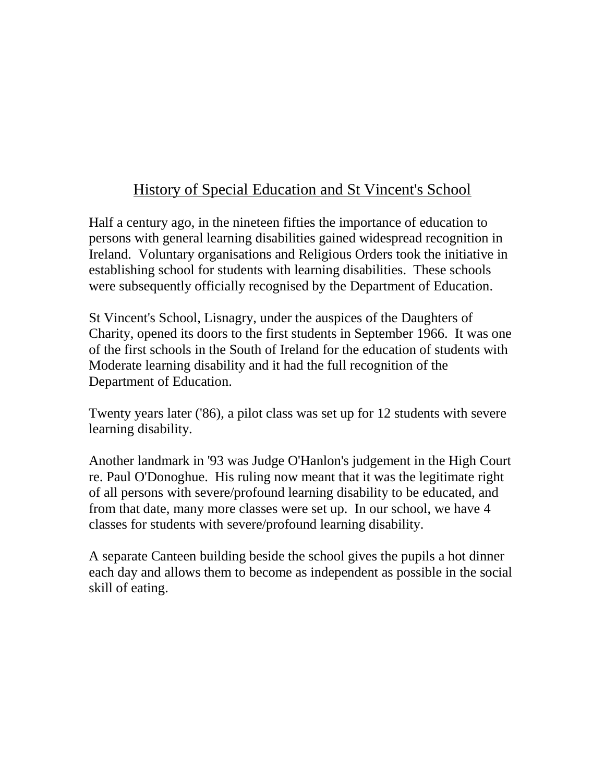# History of Special Education and St Vincent's School

Half a century ago, in the nineteen fifties the importance of education to persons with general learning disabilities gained widespread recognition in Ireland. Voluntary organisations and Religious Orders took the initiative in establishing school for students with learning disabilities. These schools were subsequently officially recognised by the Department of Education.

St Vincent's School, Lisnagry, under the auspices of the Daughters of Charity, opened its doors to the first students in September 1966. It was one of the first schools in the South of Ireland for the education of students with Moderate learning disability and it had the full recognition of the Department of Education.

Twenty years later ('86), a pilot class was set up for 12 students with severe learning disability.

Another landmark in '93 was Judge O'Hanlon's judgement in the High Court re. Paul O'Donoghue. His ruling now meant that it was the legitimate right of all persons with severe/profound learning disability to be educated, and from that date, many more classes were set up. In our school, we have 4 classes for students with severe/profound learning disability.

A separate Canteen building beside the school gives the pupils a hot dinner each day and allows them to become as independent as possible in the social skill of eating.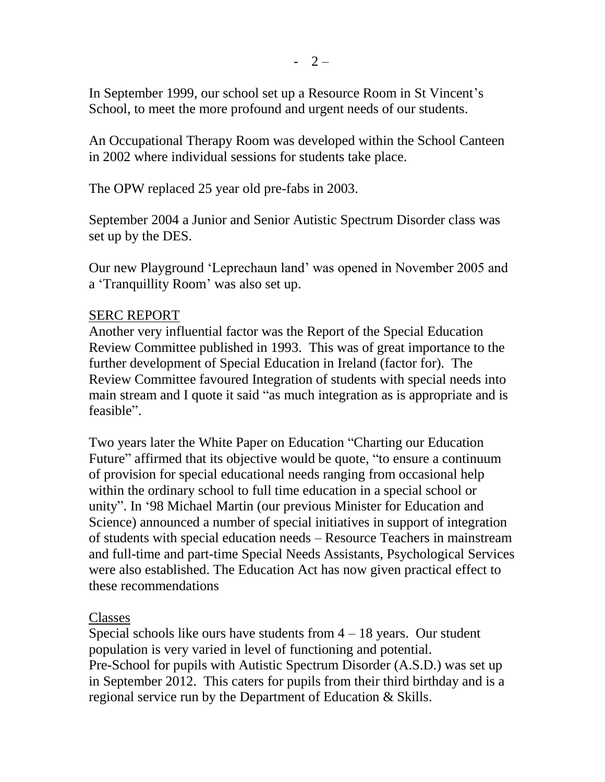In September 1999, our school set up a Resource Room in St Vincent's School, to meet the more profound and urgent needs of our students.

An Occupational Therapy Room was developed within the School Canteen in 2002 where individual sessions for students take place.

The OPW replaced 25 year old pre-fabs in 2003.

September 2004 a Junior and Senior Autistic Spectrum Disorder class was set up by the DES.

Our new Playground "Leprechaun land" was opened in November 2005 and a "Tranquillity Room" was also set up.

### SERC REPORT

Another very influential factor was the Report of the Special Education Review Committee published in 1993. This was of great importance to the further development of Special Education in Ireland (factor for). The Review Committee favoured Integration of students with special needs into main stream and I quote it said "as much integration as is appropriate and is feasible".

Two years later the White Paper on Education "Charting our Education Future" affirmed that its objective would be quote, "to ensure a continuum of provision for special educational needs ranging from occasional help within the ordinary school to full time education in a special school or unity". In "98 Michael Martin (our previous Minister for Education and Science) announced a number of special initiatives in support of integration of students with special education needs – Resource Teachers in mainstream and full-time and part-time Special Needs Assistants, Psychological Services were also established. The Education Act has now given practical effect to these recommendations

## Classes

Special schools like ours have students from  $4 - 18$  years. Our student population is very varied in level of functioning and potential. Pre-School for pupils with Autistic Spectrum Disorder (A.S.D.) was set up in September 2012. This caters for pupils from their third birthday and is a regional service run by the Department of Education & Skills.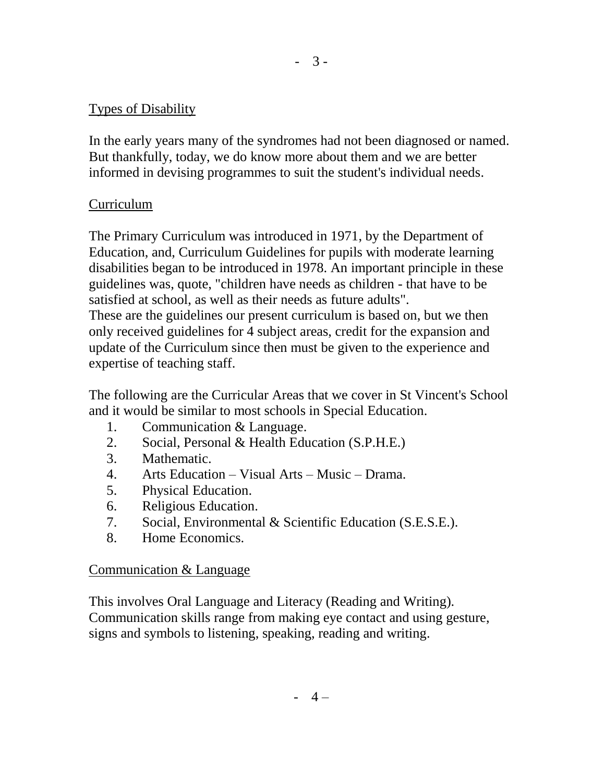### Types of Disability

In the early years many of the syndromes had not been diagnosed or named. But thankfully, today, we do know more about them and we are better informed in devising programmes to suit the student's individual needs.

### Curriculum

The Primary Curriculum was introduced in 1971, by the Department of Education, and, Curriculum Guidelines for pupils with moderate learning disabilities began to be introduced in 1978. An important principle in these guidelines was, quote, "children have needs as children - that have to be satisfied at school, as well as their needs as future adults". These are the guidelines our present curriculum is based on, but we then only received guidelines for 4 subject areas, credit for the expansion and update of the Curriculum since then must be given to the experience and expertise of teaching staff.

The following are the Curricular Areas that we cover in St Vincent's School and it would be similar to most schools in Special Education.

- 1. Communication & Language.
- 2. Social, Personal & Health Education (S.P.H.E.)
- 3. Mathematic.
- 4. Arts Education Visual Arts Music Drama.
- 5. Physical Education.
- 6. Religious Education.
- 7. Social, Environmental & Scientific Education (S.E.S.E.).
- 8. Home Economics.

### Communication & Language

This involves Oral Language and Literacy (Reading and Writing). Communication skills range from making eye contact and using gesture, signs and symbols to listening, speaking, reading and writing.

- 3 -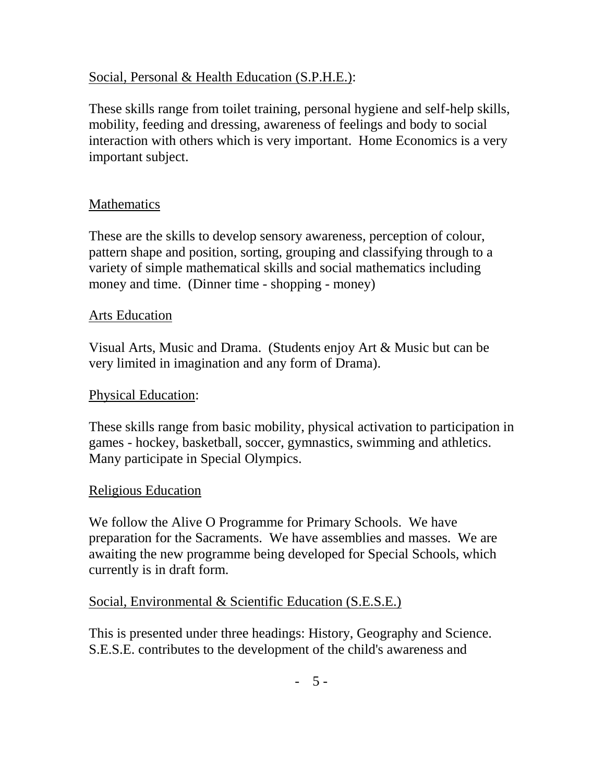### Social, Personal & Health Education (S.P.H.E.):

These skills range from toilet training, personal hygiene and self-help skills, mobility, feeding and dressing, awareness of feelings and body to social interaction with others which is very important. Home Economics is a very important subject.

### Mathematics

These are the skills to develop sensory awareness, perception of colour, pattern shape and position, sorting, grouping and classifying through to a variety of simple mathematical skills and social mathematics including money and time. (Dinner time - shopping - money)

#### Arts Education

Visual Arts, Music and Drama. (Students enjoy Art & Music but can be very limited in imagination and any form of Drama).

#### Physical Education:

These skills range from basic mobility, physical activation to participation in games - hockey, basketball, soccer, gymnastics, swimming and athletics. Many participate in Special Olympics.

#### Religious Education

We follow the Alive O Programme for Primary Schools. We have preparation for the Sacraments. We have assemblies and masses. We are awaiting the new programme being developed for Special Schools, which currently is in draft form.

### Social, Environmental & Scientific Education (S.E.S.E.)

This is presented under three headings: History, Geography and Science. S.E.S.E. contributes to the development of the child's awareness and